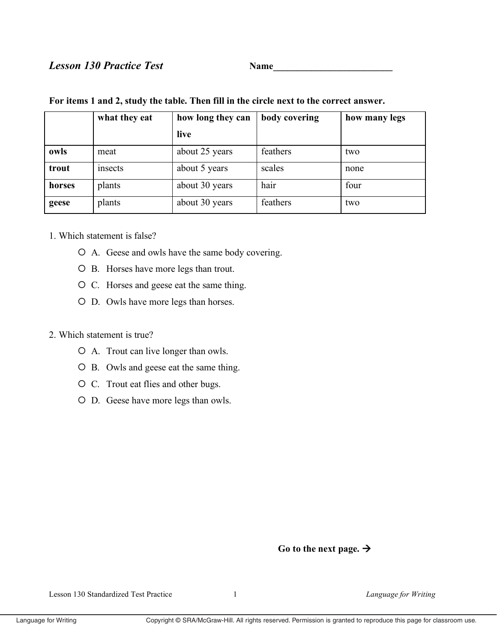# **Lesson 130 Practice Test**

Name

|        | what they eat | how long they can | body covering | how many legs |
|--------|---------------|-------------------|---------------|---------------|
|        |               | live              |               |               |
| owls   | meat          | about 25 years    | feathers      | two           |
| trout  | insects       | about 5 years     | scales        | none          |
| horses | plants        | about 30 years    | hair          | four          |
| geese  | plants        | about 30 years    | feathers      | two           |

## For items 1 and 2, study the table. Then fill in the circle next to the correct answer.

### 1. Which statement is false?

- O A. Geese and owls have the same body covering.
- O B. Horses have more legs than trout.
- O C. Horses and geese eat the same thing.
- O D. Owls have more legs than horses.

## 2. Which statement is true?

- O A. Trout can live longer than owls.
- O B. Owls and geese eat the same thing.
- O C. Trout eat flies and other bugs.
- O D. Geese have more legs than owls.

# Go to the next page.  $\rightarrow$

Lesson 130 Standardized Test Practice

 $\mathbf{1}$ 

Language for Writing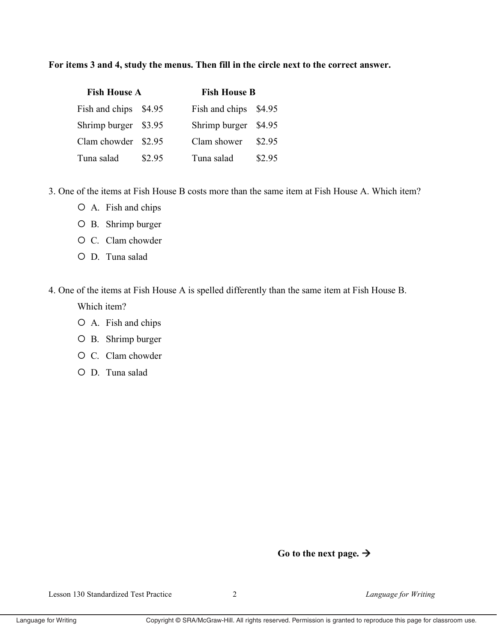### For items 3 and 4, study the menus. Then fill in the circle next to the correct answer.

| <b>Fish House A</b>  |        |                      | <b>Fish House B</b> |  |  |
|----------------------|--------|----------------------|---------------------|--|--|
| Fish and chips       | \$4.95 | Fish and chips       | \$4.95              |  |  |
| Shrimp burger \$3.95 |        | Shrimp burger \$4.95 |                     |  |  |
| Clam chowder \$2.95  |        | Clam shower          | \$2.95              |  |  |
| Tuna salad           | \$2.95 | Tuna salad           | \$2.95              |  |  |

3. One of the items at Fish House B costs more than the same item at Fish House A. Which item?

- O A. Fish and chips
- O B. Shrimp burger
- O C. Clam chowder
- O D. Tuna salad

#### 4. One of the items at Fish House A is spelled differently than the same item at Fish House B.

Which item?

- O A. Fish and chips
- O B. Shrimp burger
- O C. Clam chowder
- O D. Tuna salad

## Go to the next page.  $\rightarrow$

 $\overline{2}$ 

Language for Writing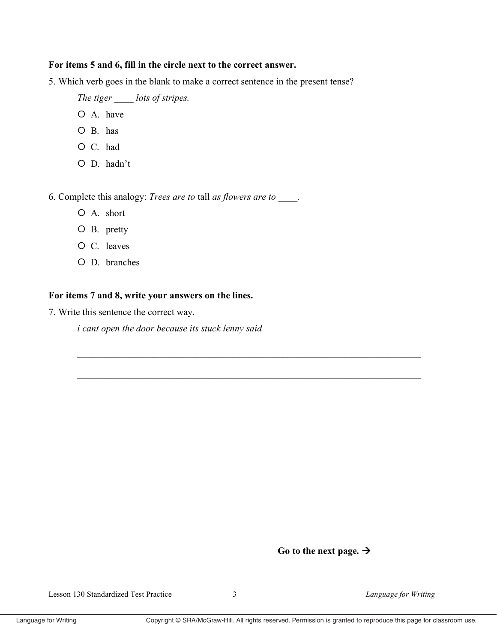#### For items 5 and 6, fill in the circle next to the correct answer.

5. Which verb goes in the blank to make a correct sentence in the present tense?

The tiger lots of stripes.

- O A. have
- $O$  B. has
- O C. had
- O D. hadn't

6. Complete this analogy: Trees are to tall as flowers are to \_\_\_\_.

- O A. short
- $O$  B. pretty
- O C. leaves
- O D. branches

### For items 7 and 8, write your answers on the lines.

7. Write this sentence the correct way.

*i* cant open the door because its stuck lenny said

# Go to the next page.  $\rightarrow$

Language for Writing